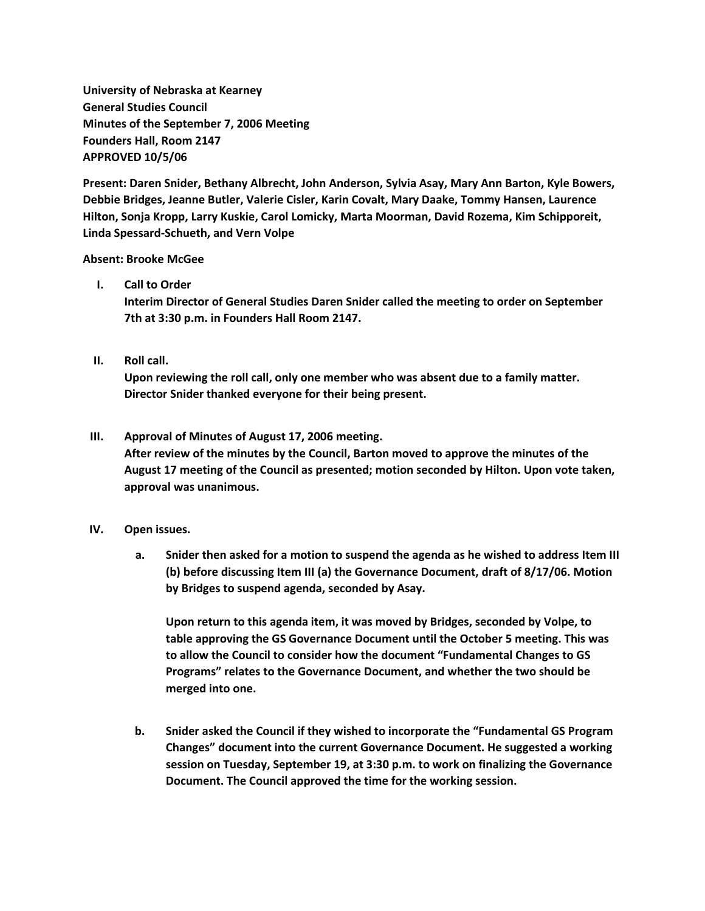**University of Nebraska at Kearney General Studies Council Minutes of the September 7, 2006 Meeting Founders Hall, Room 2147 APPROVED 10/5/06**

**Present: Daren Snider, Bethany Albrecht, John Anderson, Sylvia Asay, Mary Ann Barton, Kyle Bowers, Debbie Bridges, Jeanne Butler, Valerie Cisler, Karin Covalt, Mary Daake, Tommy Hansen, Laurence Hilton, Sonja Kropp, Larry Kuskie, Carol Lomicky, Marta Moorman, David Rozema, Kim Schipporeit, Linda Spessard-Schueth, and Vern Volpe**

## **Absent: Brooke McGee**

## **I. Call to Order**

**Interim Director of General Studies Daren Snider called the meeting to order on September 7th at 3:30 p.m. in Founders Hall Room 2147.**

# **II. Roll call.**

**Upon reviewing the roll call, only one member who was absent due to a family matter. Director Snider thanked everyone for their being present.**

## **III. Approval of Minutes of August 17, 2006 meeting.**

**After review of the minutes by the Council, Barton moved to approve the minutes of the August 17 meeting of the Council as presented; motion seconded by Hilton. Upon vote taken, approval was unanimous.**

### **IV. Open issues.**

**a. Snider then asked for a motion to suspend the agenda as he wished to address Item III (b) before discussing Item III (a) the Governance Document, draft of 8/17/06. Motion by Bridges to suspend agenda, seconded by Asay.**

**Upon return to this agenda item, it was moved by Bridges, seconded by Volpe, to table approving the GS Governance Document until the October 5 meeting. This was to allow the Council to consider how the document "Fundamental Changes to GS Programs" relates to the Governance Document, and whether the two should be merged into one.**

**b. Snider asked the Council if they wished to incorporate the "Fundamental GS Program Changes" document into the current Governance Document. He suggested a working session on Tuesday, September 19, at 3:30 p.m. to work on finalizing the Governance Document. The Council approved the time for the working session.**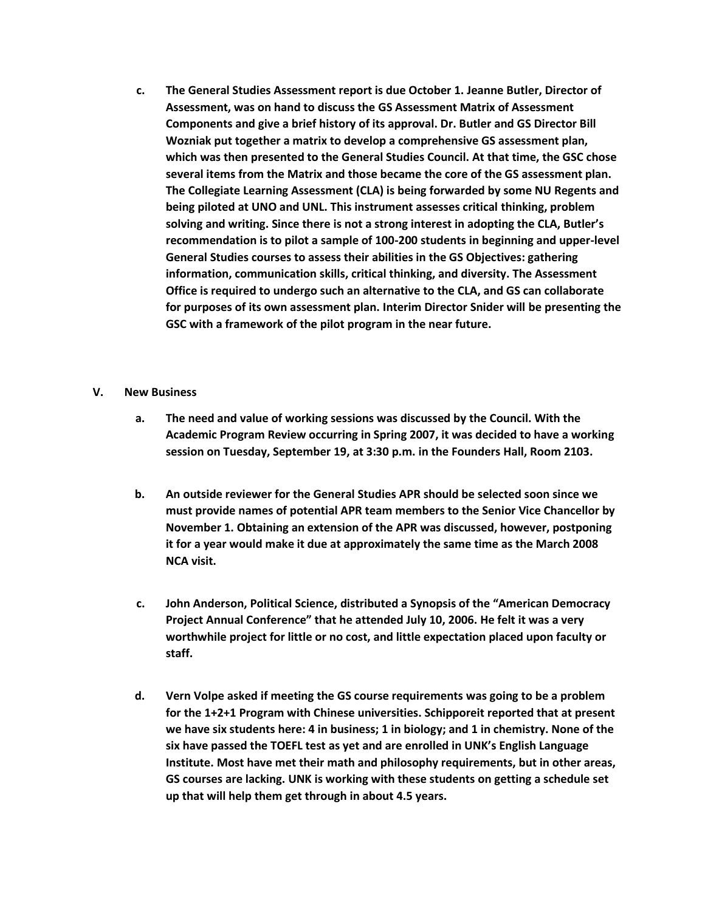**c. The General Studies Assessment report is due October 1. Jeanne Butler, Director of Assessment, was on hand to discuss the GS Assessment Matrix of Assessment Components and give a brief history of its approval. Dr. Butler and GS Director Bill Wozniak put together a matrix to develop a comprehensive GS assessment plan, which was then presented to the General Studies Council. At that time, the GSC chose several items from the Matrix and those became the core of the GS assessment plan. The Collegiate Learning Assessment (CLA) is being forwarded by some NU Regents and being piloted at UNO and UNL. This instrument assesses critical thinking, problem solving and writing. Since there is not a strong interest in adopting the CLA, Butler's recommendation is to pilot a sample of 100-200 students in beginning and upper-level General Studies courses to assess their abilities in the GS Objectives: gathering information, communication skills, critical thinking, and diversity. The Assessment Office is required to undergo such an alternative to the CLA, and GS can collaborate for purposes of its own assessment plan. Interim Director Snider will be presenting the GSC with a framework of the pilot program in the near future.**

## **V. New Business**

- **a. The need and value of working sessions was discussed by the Council. With the Academic Program Review occurring in Spring 2007, it was decided to have a working session on Tuesday, September 19, at 3:30 p.m. in the Founders Hall, Room 2103.**
- **b. An outside reviewer for the General Studies APR should be selected soon since we must provide names of potential APR team members to the Senior Vice Chancellor by November 1. Obtaining an extension of the APR was discussed, however, postponing it for a year would make it due at approximately the same time as the March 2008 NCA visit.**
- **c. John Anderson, Political Science, distributed a Synopsis of the "American Democracy Project Annual Conference" that he attended July 10, 2006. He felt it was a very worthwhile project for little or no cost, and little expectation placed upon faculty or staff.**
- **d. Vern Volpe asked if meeting the GS course requirements was going to be a problem for the 1+2+1 Program with Chinese universities. Schipporeit reported that at present we have six students here: 4 in business; 1 in biology; and 1 in chemistry. None of the six have passed the TOEFL test as yet and are enrolled in UNK's English Language Institute. Most have met their math and philosophy requirements, but in other areas, GS courses are lacking. UNK is working with these students on getting a schedule set up that will help them get through in about 4.5 years.**